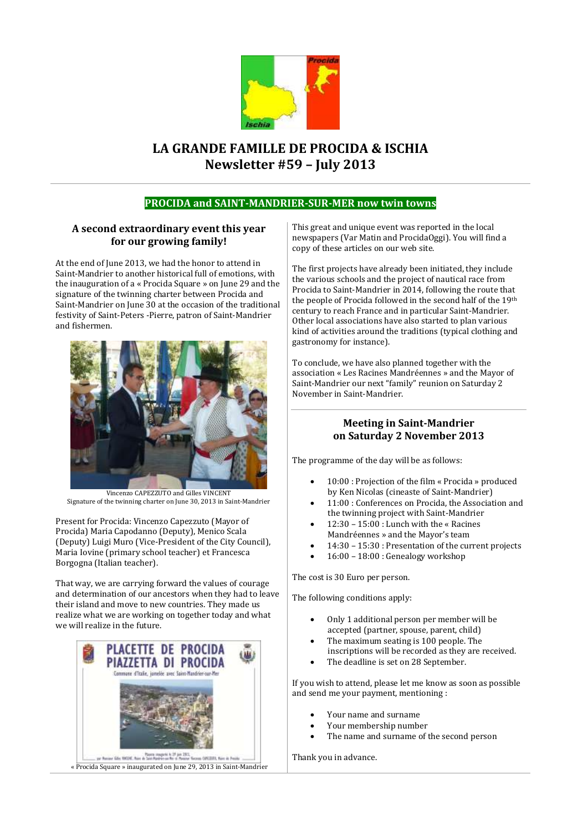

# **LA GRANDE FAMILLE DE PROCIDA & ISCHIA Newsletter #59 – July 2013**

### **PROCIDA and SAINT-MANDRIER-SUR-MER now twin towns**

### **A second extraordinary event this year for our growing family!**

At the end of June 2013, we had the honor to attend in Saint-Mandrier to another historical full of emotions, with the inauguration of a « Procida Square » on June 29 and the signature of the twinning charter between Procida and Saint-Mandrier on June 30 at the occasion of the traditional festivity of Saint-Peters -Pierre, patron of Saint-Mandrier and fishermen.



Vincenzo CAPEZZUTO and Gilles VINCENT Signature of the twinning charter on June 30, 2013 in Saint-Mandrier

Present for Procida: Vincenzo Capezzuto (Mayor of Procida) Maria Capodanno (Deputy), Menico Scala (Deputy) Luigi Muro (Vice-President of the City Council), Maria Iovine (primary school teacher) et Francesca Borgogna (Italian teacher).

That way, we are carrying forward the values of courage and determination of our ancestors when they had to leave their island and move to new countries. They made us realize what we are working on together today and what we will realize in the future.



This great and unique event was reported in the local newspapers (Var Matin and ProcidaOggi). You will find a copy of these articles on our web site.

The first projects have already been initiated, they include the various schools and the project of nautical race from Procida to Saint-Mandrier in 2014, following the route that the people of Procida followed in the second half of the 19th century to reach France and in particular Saint-Mandrier. Other local associations have also started to plan various kind of activities around the traditions (typical clothing and gastronomy for instance).

To conclude, we have also planned together with the association « Les Racines Mandréennes » and the Mayor of Saint-Mandrier our next "family" reunion on Saturday 2 November in Saint-Mandrier.

### **Meeting in Saint-Mandrier on Saturday 2 November 2013**

The programme of the day will be as follows:

- 10:00 : Projection of the film « Procida » produced by Ken Nicolas (cineaste of Saint-Mandrier)
- 11:00 : Conferences on Procida, the Association and the twinning project with Saint-Mandrier
- 12:30 15:00 : Lunch with the « Racines Mandréennes » and the Mayor's team
- 14:30 15:30 : Presentation of the current projects
- 16:00 18:00 : Genealogy workshop

The cost is 30 Euro per person.

The following conditions apply:

- Only 1 additional person per member will be accepted (partner, spouse, parent, child)
- The maximum seating is 100 people. The inscriptions will be recorded as they are received.
- The deadline is set on 28 September.

If you wish to attend, please let me know as soon as possible and send me your payment, mentioning :

- Your name and surname
- Your membership number
- The name and surname of the second person

Thank you in advance.